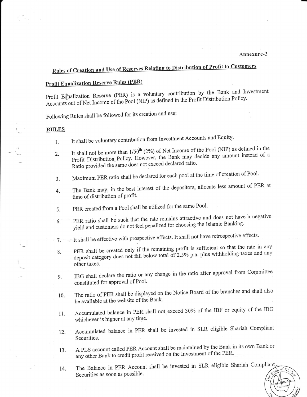of  $K_h$ 

## Rules of Creation and Use of Reserves Relating to Distribution of Profit to Customers

## **Profit Equalization Reserve Rules (PER)**

Profit Equalization Reserve (PER) is a voluntary contribution by the Bank and Investment Accounts out of Net Income of the Pool (NIP) as defined in the Profit Distribution Policy.

Following Rules shall be followed for its creation and use:

## **RULES**

- It shall be voluntary contribution from Investment Accounts and Equity. 1.
- It shall not be more than  $1/50^{th}$  (2%) of Net Income of the Pool (NIP) as defined in the Profit Distribution Policy. However, the Bank may decide any amount instead of a 2. Ratio provided the same does not exceed declared ratio.
- Maximum PER ratio shall be declared for each pool at the time of creation of Pool. 3.
- The Bank may, in the best interest of the depositors, allocate less amount of PER at 4. time of distribution of profit.
- PER created from a Pool shall be utilized for the same Pool. 5.
- PER ratio shall be such that the rate remains attractive and does not have a negative 6. yield and customers do not feel penalized for choosing the Islamic Banking.
- It shall be effective with prospective effects. It shall not have retrospective effects. 7.
- PER shall be created only if the remaining profit is sufficient so that the rate in any deposit category does not fall below total of 2.5% p.a. plus withholding taxes and any 8. other taxes.
- IBG shall declare the ratio or any change in the ratio after approval from Committee 9. constituted for approval of Pool.
- The ratio of PER shall be displayed on the Notice Board of the branches and shall also 10. be available at the website of the Bank.
- Accumulated balance in PER shall not exceed 30% of the IBF or equity of the IBG 11. whichever is higher at any time.
- Accumulated balance in PER shall be invested in SLR eligible Shariah Compliant 12. Securities.
- A PLS account called PER Account shall be maintained by the Bank in its own Bank or 13. any other Bank to credit profit received on the Investment of the PER.
- The Balance in PER Account shall be invested in SLR eligible Shariah Compliant 14. Securities as soon as possible.